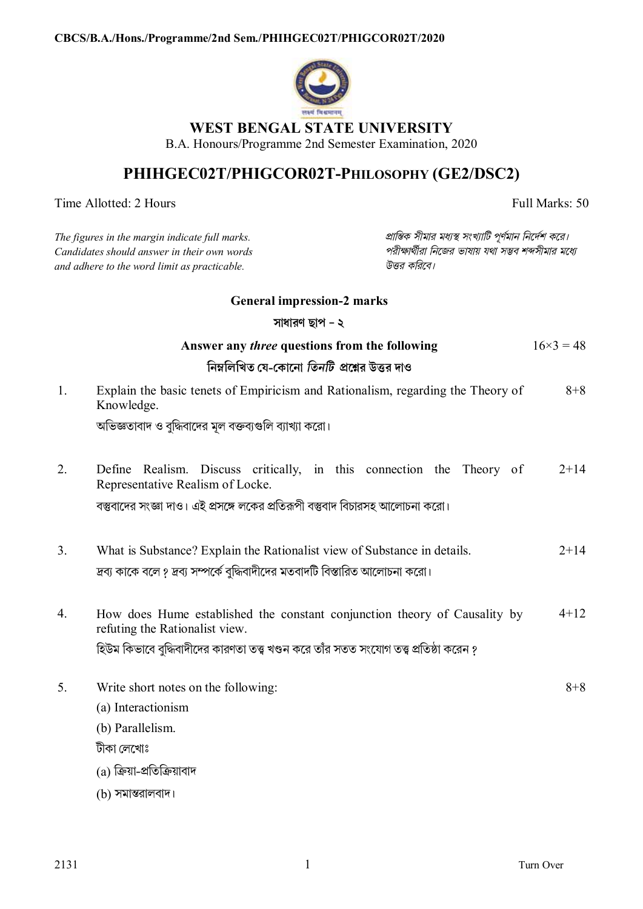

## **WEST BENGAL STATE UNIVERSITY**

B.A. Honours/Programme 2nd Semester Examination, 2020

## **PHIHGEC02T/PHIGCOR02T-PHILOSOPHY (GE2/DSC2)**

Time Allotted: 2 Hours Full Marks: 50

| The figures in the margin indicate full marks.<br>Candidates should answer in their own words<br>and adhere to the word limit as practicable. |                                                                                                             | প্রান্তিক সীমার মধ্যস্থ সংখ্যাটি পূর্ণমান নির্দেশ করে।<br>পরীক্ষার্থীরা নিজের ভাষায় যথা সম্ভব শব্দসীমার মধ্যে<br>উত্তর করিবে। |                  |
|-----------------------------------------------------------------------------------------------------------------------------------------------|-------------------------------------------------------------------------------------------------------------|--------------------------------------------------------------------------------------------------------------------------------|------------------|
|                                                                                                                                               | <b>General impression-2 marks</b>                                                                           |                                                                                                                                |                  |
|                                                                                                                                               | সাধারণ ছাপ - ২                                                                                              |                                                                                                                                |                  |
|                                                                                                                                               | Answer any <i>three</i> questions from the following                                                        |                                                                                                                                | $16\times3 = 48$ |
|                                                                                                                                               | নিম্নলিখিত যে-কোনো <i>তিনটি প্র</i> শ্নের উত্তর দাও                                                         |                                                                                                                                |                  |
| 1.                                                                                                                                            | Explain the basic tenets of Empiricism and Rationalism, regarding the Theory of<br>$8 + 8$<br>Knowledge.    |                                                                                                                                |                  |
|                                                                                                                                               | অভিজ্ঞতাবাদ ও বুদ্ধিবাদের মূল বক্তব্যগুলি ব্যাখ্যা করো।                                                     |                                                                                                                                |                  |
| 2.                                                                                                                                            | Define Realism. Discuss critically, in this connection the Theory of<br>Representative Realism of Locke.    |                                                                                                                                | $2 + 14$         |
|                                                                                                                                               | বস্তুবাদের সংজ্ঞা দাও। এই প্রসঙ্গে লকের প্রতিরূপী বস্তুবাদ বিচারসহ আলোচনা করো।                              |                                                                                                                                |                  |
| 3.                                                                                                                                            | What is Substance? Explain the Rationalist view of Substance in details.                                    |                                                                                                                                | $2 + 14$         |
|                                                                                                                                               | দ্রব্য কাকে বলে ? দ্রব্য সম্পর্কে বুদ্ধিবাদীদের মতবাদটি বিস্তারিত আলোচনা করো।                               |                                                                                                                                |                  |
| 4.                                                                                                                                            | How does Hume established the constant conjunction theory of Causality by<br>refuting the Rationalist view. |                                                                                                                                | $4 + 12$         |
|                                                                                                                                               | হিউম কিভাবে বুদ্ধিবাদীদের কারণতা তত্ত্ব খণ্ডন করে তাঁর সতত সংযোগ তত্ত্ব প্রতিষ্ঠা করেন ?                    |                                                                                                                                |                  |
| 5.                                                                                                                                            | Write short notes on the following:                                                                         |                                                                                                                                | $8 + 8$          |
|                                                                                                                                               | (a) Interactionism                                                                                          |                                                                                                                                |                  |
|                                                                                                                                               | (b) Parallelism.                                                                                            |                                                                                                                                |                  |
|                                                                                                                                               | টীকা লেখোঃ                                                                                                  |                                                                                                                                |                  |
|                                                                                                                                               | (a) ক্রিয়া-প্রতিক্রিয়াবাদ                                                                                 |                                                                                                                                |                  |
|                                                                                                                                               | (b) সমান্তরালবাদ।                                                                                           |                                                                                                                                |                  |